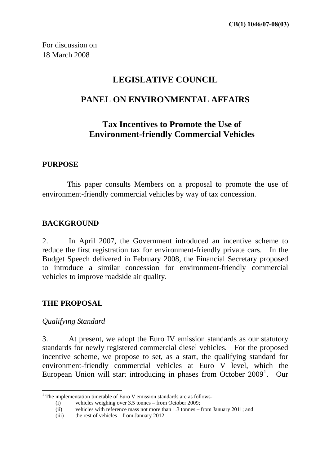For discussion on 18 March 2008

# **LEGISLATIVE COUNCIL**

# **PANEL ON ENVIRONMENTAL AFFAIRS**

# **Tax Incentives to Promote the Use of Environment-friendly Commercial Vehicles**

## **PURPOSE**

This paper consults Members on a proposal to promote the use of environment-friendly commercial vehicles by way of tax concession.

## **BACKGROUND**

2. In April 2007, the Government introduced an incentive scheme to reduce the first registration tax for environment-friendly private cars. In the Budget Speech delivered in February 2008, the Financial Secretary proposed to introduce a similar concession for environment-friendly commercial vehicles to improve roadside air quality.

## **THE PROPOSAL**

#### *Qualifying Standard*

<u>.</u>

3. At present, we adopt the Euro IV emission standards as our statutory standards for newly registered commercial diesel vehicles. For the proposed incentive scheme, we propose to set, as a start, the qualifying standard for environment-friendly commercial vehicles at Euro V level, which the European Union will start introducing in phases from October  $2009<sup>1</sup>$  $2009<sup>1</sup>$  $2009<sup>1</sup>$ . Our

<span id="page-0-0"></span> $<sup>1</sup>$  The implementation timetable of Euro V emission standards are as follows-</sup>

<sup>(</sup>i) vehicles weighing over 3.5 tonnes – from October 2009;

<sup>(</sup>ii) vehicles with reference mass not more than 1.3 tonnes – from January 2011; and

<sup>(</sup>iii) the rest of vehicles – from January 2012.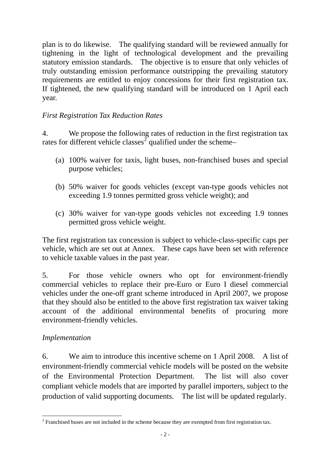plan is to do likewise. The qualifying standard will be reviewed annually for tightening in the light of technological development and the prevailing statutory emission standards. The objective is to ensure that only vehicles of truly outstanding emission performance outstripping the prevailing statutory requirements are entitled to enjoy concessions for their first registration tax. If tightened, the new qualifying standard will be introduced on 1 April each year.

### *First Registration Tax Reduction Rates*

4. We propose the following rates of reduction in the first registration tax rates for different vehicle classes<sup>[2](#page-1-0)</sup> qualified under the scheme-

- (a) 100% waiver for taxis, light buses, non-franchised buses and special purpose vehicles;
- (b) 50% waiver for goods vehicles (except van-type goods vehicles not exceeding 1.9 tonnes permitted gross vehicle weight); and
- (c) 30% waiver for van-type goods vehicles not exceeding 1.9 tonnes permitted gross vehicle weight.

The first registration tax concession is subject to vehicle-class-specific caps per vehicle, which are set out at Annex. These caps have been set with reference to vehicle taxable values in the past year.

5. For those vehicle owners who opt for environment-friendly commercial vehicles to replace their pre-Euro or Euro I diesel commercial vehicles under the one-off grant scheme introduced in April 2007, we propose that they should also be entitled to the above first registration tax waiver taking account of the additional environmental benefits of procuring more environment-friendly vehicles.

#### *Implementation*

6. We aim to introduce this incentive scheme on 1 April 2008. A list of environment-friendly commercial vehicle models will be posted on the website of the Environmental Protection Department. The list will also cover compliant vehicle models that are imported by parallel importers, subject to the production of valid supporting documents. The list will be updated regularly.

<span id="page-1-0"></span>The all the scheme of the scheme because they are exempted from first registration tax.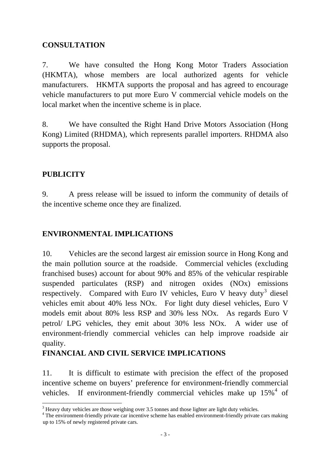## <span id="page-2-0"></span>**CONSULTATION**

7. We have consulted the Hong Kong Motor Traders Association (HKMTA), whose members are local authorized agents for vehicle manufacturers. HKMTA supports the proposal and has agreed to encourage vehicle manufacturers to put more Euro V commercial vehicle models on the local market when the incentive scheme is in place.

8. We have consulted the Right Hand Drive Motors Association (Hong Kong) Limited (RHDMA), which represents parallel importers. RHDMA also supports the proposal.

## **PUBLICITY**

1

9. A press release will be issued to inform the community of details of the incentive scheme once they are finalized.

## **ENVIRONMENTAL IMPLICATIONS**

10. Vehicles are the second largest air emission source in Hong Kong and the main pollution source at the roadside. Commercial vehicles (excluding franchised buses) account for about 90% and 85% of the vehicular respirable suspended particulates (RSP) and nitrogen oxides (NOx) emissions respectively. Compared with Euro IV vehicles, Euro V heavy duty<sup>[3](#page-2-0)</sup> diesel vehicles emit about 40% less NOx. For light duty diesel vehicles, Euro V models emit about 80% less RSP and 30% less NOx. As regards Euro V petrol/ LPG vehicles, they emit about 30% less NOx. A wider use of environment-friendly commercial vehicles can help improve roadside air quality.

## **FINANCIAL AND CIVIL SERVICE IMPLICATIONS**

11. It is difficult to estimate with precision the effect of the proposed incentive scheme on buyers' preference for environment-friendly commercial vehicles. If environment-friendly commercial vehicles make up  $15\%$ <sup>[4](#page-2-0)</sup> of

 $3$  Heavy duty vehicles are those weighing over 3.5 tonnes and those lighter are light duty vehicles.

<sup>&</sup>lt;sup>4</sup> The environment-friendly private car incentive scheme has enabled environment-friendly private cars making up to 15% of newly registered private cars.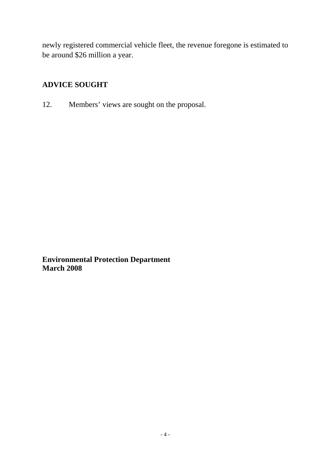newly registered commercial vehicle fleet, the revenue foregone is estimated to be around \$26 million a year.

## **ADVICE SOUGHT**

12. Members' views are sought on the proposal.

**Environmental Protection Department March 2008**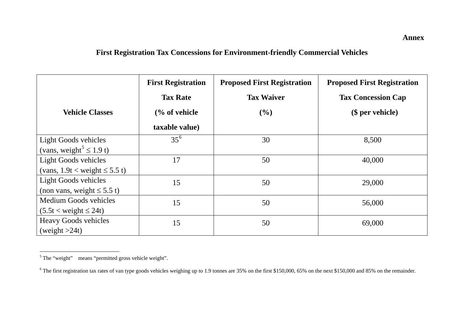**Annex** 

## **First Registration Tax Concessions for Environment-friendly Commercial Vehicles**

|                                          | <b>First Registration</b> | <b>Proposed First Registration</b> | <b>Proposed First Registration</b> |
|------------------------------------------|---------------------------|------------------------------------|------------------------------------|
|                                          | <b>Tax Rate</b>           | <b>Tax Waiver</b>                  | <b>Tax Concession Cap</b>          |
| <b>Vehicle Classes</b>                   | $\frac{6}{6}$ of vehicle  | (%)                                | (\$ per vehicle)                   |
|                                          | taxable value)            |                                    |                                    |
| <b>Light Goods vehicles</b>              | $35^{6}$                  | 30                                 | 8,500                              |
| (vans, weight <sup>5</sup> $\leq$ 1.9 t) |                           |                                    |                                    |
| <b>Light Goods vehicles</b>              | 17                        | 50                                 | 40,000                             |
| (vans, $1.9t <$ weight $\leq 5.5$ t)     |                           |                                    |                                    |
| <b>Light Goods vehicles</b>              | 15                        | 50                                 | 29,000                             |
| (non vans, weight $\leq 5.5$ t)          |                           |                                    |                                    |
| <b>Medium Goods vehicles</b>             | 15                        | 50                                 | 56,000                             |
| $(5.5t <$ weight $\leq 24t$ )            |                           |                                    |                                    |
| <b>Heavy Goods vehicles</b>              | 15                        | 50                                 | 69,000                             |
| (weight $>24t$ )                         |                           |                                    |                                    |

<span id="page-4-0"></span><sup>&</sup>lt;sup>5</sup> The "weight" means "permitted gross vehicle weight".

<span id="page-4-1"></span><sup>&</sup>lt;sup>6</sup> The first registration tax rates of van type goods vehicles weighing up to 1.9 tonnes are 35% on the first \$150,000, 65% on the next \$150,000 and 85% on the remainder.